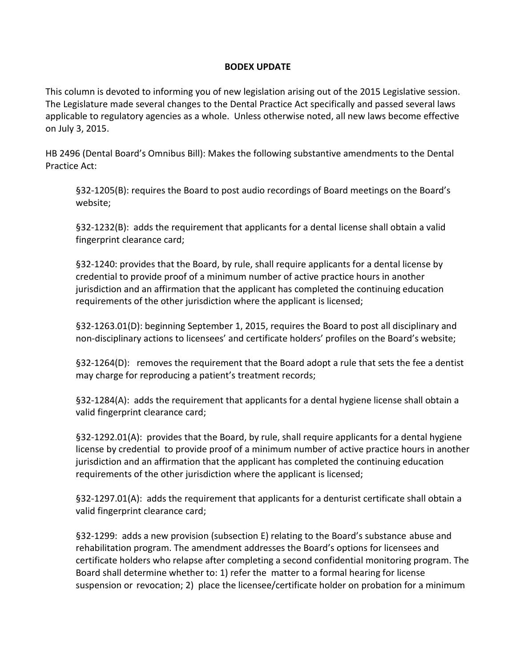## **BODEX UPDATE**

This column is devoted to informing you of new legislation arising out of the 2015 Legislative session. The Legislature made several changes to the Dental Practice Act specifically and passed several laws applicable to regulatory agencies as a whole. Unless otherwise noted, all new laws become effective on July 3, 2015.

HB 2496 (Dental Board's Omnibus Bill): Makes the following substantive amendments to the Dental Practice Act:

§32-1205(B): requires the Board to post audio recordings of Board meetings on the Board's website;

§32-1232(B): adds the requirement that applicants for a dental license shall obtain a valid fingerprint clearance card;

§32-1240: provides that the Board, by rule, shall require applicants for a dental license by credential to provide proof of a minimum number of active practice hours in another jurisdiction and an affirmation that the applicant has completed the continuing education requirements of the other jurisdiction where the applicant is licensed;

§32-1263.01(D): beginning September 1, 2015, requires the Board to post all disciplinary and non-disciplinary actions to licensees' and certificate holders' profiles on the Board's website;

§32-1264(D): removes the requirement that the Board adopt a rule that sets the fee a dentist may charge for reproducing a patient's treatment records;

§32-1284(A): adds the requirement that applicants for a dental hygiene license shall obtain a valid fingerprint clearance card;

§32-1292.01(A): provides that the Board, by rule, shall require applicants for a dental hygiene license by credential to provide proof of a minimum number of active practice hours in another jurisdiction and an affirmation that the applicant has completed the continuing education requirements of the other jurisdiction where the applicant is licensed;

§32-1297.01(A): adds the requirement that applicants for a denturist certificate shall obtain a valid fingerprint clearance card;

§32-1299: adds a new provision (subsection E) relating to the Board's substance abuse and rehabilitation program. The amendment addresses the Board's options for licensees and certificate holders who relapse after completing a second confidential monitoring program. The Board shall determine whether to: 1) refer the matter to a formal hearing for license suspension or revocation; 2) place the licensee/certificate holder on probation for a minimum